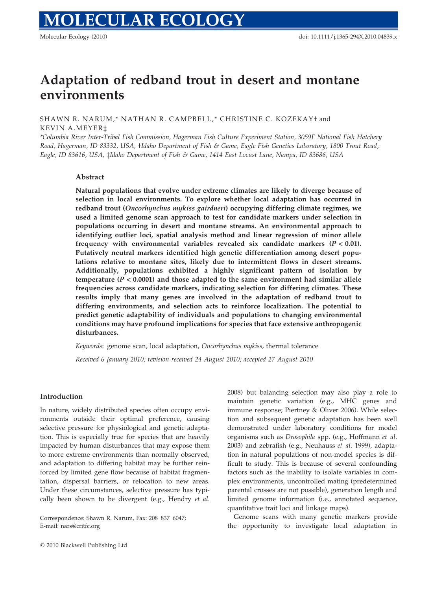# Adaptation of redband trout in desert and montane environments

SHAWN R. NARUM,\* NATHAN R. CAMPBELL,\* CHRISTINE C. KOZFKAY† and KEVIN A.MEYER‡

\*Columbia River Inter-Tribal Fish Commission, Hagerman Fish Culture Experiment Station, 3059F National Fish Hatchery Road, Hagerman, ID 83332, USA, †Idaho Department of Fish & Game, Eagle Fish Genetics Laboratory, 1800 Trout Road, Eagle, ID 83616, USA, ‡Idaho Department of Fish & Game, 1414 East Locust Lane, Nampa, ID 83686, USA

# Abstract

Natural populations that evolve under extreme climates are likely to diverge because of selection in local environments. To explore whether local adaptation has occurred in redband trout (Oncorhynchus mykiss gairdneri) occupying differing climate regimes, we used a limited genome scan approach to test for candidate markers under selection in populations occurring in desert and montane streams. An environmental approach to identifying outlier loci, spatial analysis method and linear regression of minor allele frequency with environmental variables revealed six candidate markers  $(P < 0.01)$ . Putatively neutral markers identified high genetic differentiation among desert populations relative to montane sites, likely due to intermittent flows in desert streams. Additionally, populations exhibited a highly significant pattern of isolation by temperature ( $P < 0.0001$ ) and those adapted to the same environment had similar allele frequencies across candidate markers, indicating selection for differing climates. These results imply that many genes are involved in the adaptation of redband trout to differing environments, and selection acts to reinforce localization. The potential to predict genetic adaptability of individuals and populations to changing environmental conditions may have profound implications for species that face extensive anthropogenic disturbances.

Keywords: genome scan, local adaptation, Oncorhynchus mykiss, thermal tolerance

Received 6 January 2010; revision received 24 August 2010; accepted 27 August 2010

### Introduction

In nature, widely distributed species often occupy environments outside their optimal preference, causing selective pressure for physiological and genetic adaptation. This is especially true for species that are heavily impacted by human disturbances that may expose them to more extreme environments than normally observed, and adaptation to differing habitat may be further reinforced by limited gene flow because of habitat fragmentation, dispersal barriers, or relocation to new areas. Under these circumstances, selective pressure has typically been shown to be divergent (e.g., Hendry et al.

Correspondence: Shawn R. Narum, Fax: 208 837 6047; E-mail: nars@critfc.org

2008) but balancing selection may also play a role to maintain genetic variation (e.g., MHC genes and immune response; Piertney & Oliver 2006). While selection and subsequent genetic adaptation has been well demonstrated under laboratory conditions for model organisms such as Drosophila spp. (e.g., Hoffmann et al. 2003) and zebrafish (e.g., Neuhauss et al. 1999), adaptation in natural populations of non-model species is difficult to study. This is because of several confounding factors such as the inability to isolate variables in complex environments, uncontrolled mating (predetermined parental crosses are not possible), generation length and limited genome information (i.e., annotated sequence, quantitative trait loci and linkage maps).

Genome scans with many genetic markers provide the opportunity to investigate local adaptation in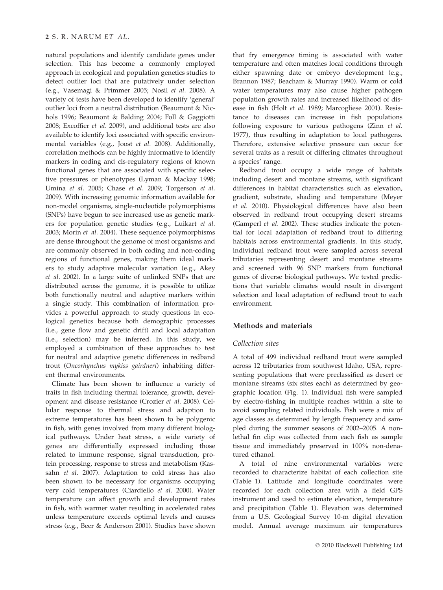# 2 S. R. NARUM ET AL.

natural populations and identify candidate genes under selection. This has become a commonly employed approach in ecological and population genetics studies to detect outlier loci that are putatively under selection (e.g., Vasemagi & Primmer 2005; Nosil et al. 2008). A variety of tests have been developed to identify 'general' outlier loci from a neutral distribution (Beaumont & Nichols 1996; Beaumont & Balding 2004; Foll & Gaggiotti 2008; Excoffier et al. 2009), and additional tests are also available to identify loci associated with specific environmental variables (e.g., Joost et al. 2008). Additionally, correlation methods can be highly informative to identify markers in coding and cis-regulatory regions of known functional genes that are associated with specific selective pressures or phenotypes (Lyman & Mackay 1998; Umina et al. 2005; Chase et al. 2009; Torgerson et al. 2009). With increasing genomic information available for non-model organisms, single-nucleotide polymorphisms (SNPs) have begun to see increased use as genetic markers for population genetic studies (e.g., Luikart et al. 2003; Morin et al. 2004). These sequence polymorphisms are dense throughout the genome of most organisms and are commonly observed in both coding and non-coding regions of functional genes, making them ideal markers to study adaptive molecular variation (e.g., Akey et al. 2002). In a large suite of unlinked SNPs that are distributed across the genome, it is possible to utilize both functionally neutral and adaptive markers within a single study. This combination of information provides a powerful approach to study questions in ecological genetics because both demographic processes (i.e., gene flow and genetic drift) and local adaptation (i.e., selection) may be inferred. In this study, we employed a combination of these approaches to test for neutral and adaptive genetic differences in redband trout (Oncorhynchus mykiss gairdneri) inhabiting different thermal environments.

Climate has been shown to influence a variety of traits in fish including thermal tolerance, growth, development and disease resistance (Crozier et al. 2008). Cellular response to thermal stress and adaption to extreme temperatures has been shown to be polygenic in fish, with genes involved from many different biological pathways. Under heat stress, a wide variety of genes are differentially expressed including those related to immune response, signal transduction, protein processing, response to stress and metabolism (Kassahn et al. 2007). Adaptation to cold stress has also been shown to be necessary for organisms occupying very cold temperatures (Ciardiello et al. 2000). Water temperature can affect growth and development rates in fish, with warmer water resulting in accelerated rates unless temperature exceeds optimal levels and causes stress (e.g., Beer & Anderson 2001). Studies have shown

that fry emergence timing is associated with water temperature and often matches local conditions through either spawning date or embryo development (e.g., Brannon 1987; Beacham & Murray 1990). Warm or cold water temperatures may also cause higher pathogen population growth rates and increased likelihood of disease in fish (Holt et al. 1989; Marcogliese 2001). Resistance to diseases can increase in fish populations following exposure to various pathogens (Zinn et al. 1977), thus resulting in adaptation to local pathogens. Therefore, extensive selective pressure can occur for several traits as a result of differing climates throughout a species' range.

Redband trout occupy a wide range of habitats including desert and montane streams, with significant differences in habitat characteristics such as elevation, gradient, substrate, shading and temperature (Meyer et al. 2010). Physiological differences have also been observed in redband trout occupying desert streams (Gamperl et al. 2002). These studies indicate the potential for local adaptation of redband trout to differing habitats across environmental gradients. In this study, individual redband trout were sampled across several tributaries representing desert and montane streams and screened with 96 SNP markers from functional genes of diverse biological pathways. We tested predictions that variable climates would result in divergent selection and local adaptation of redband trout to each environment.

# Methods and materials

#### Collection sites

A total of 499 individual redband trout were sampled across 12 tributaries from southwest Idaho, USA, representing populations that were preclassified as desert or montane streams (six sites each) as determined by geographic location (Fig. 1). Individual fish were sampled by electro-fishing in multiple reaches within a site to avoid sampling related individuals. Fish were a mix of age classes as determined by length frequency and sampled during the summer seasons of 2002–2005. A nonlethal fin clip was collected from each fish as sample tissue and immediately preserved in 100% non-denatured ethanol.

A total of nine environmental variables were recorded to characterize habitat of each collection site (Table 1). Latitude and longitude coordinates were recorded for each collection area with a field GPS instrument and used to estimate elevation, temperature and precipitation (Table 1). Elevation was determined from a U.S. Geological Survey 10-m digital elevation model. Annual average maximum air temperatures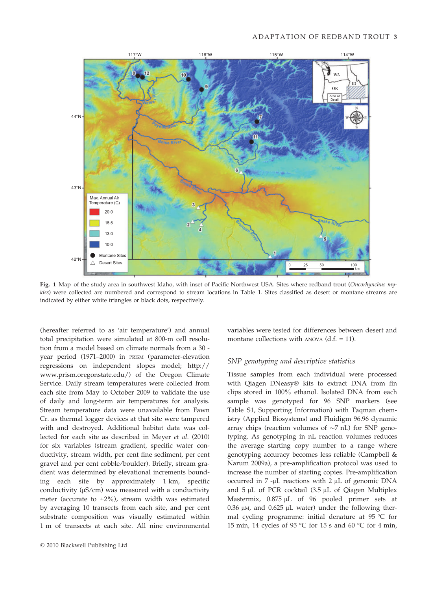

Fig. 1 Map of the study area in southwest Idaho, with inset of Pacific Northwest USA. Sites where redband trout (Oncorhynchus mykiss) were collected are numbered and correspond to stream locations in Table 1. Sites classified as desert or montane streams are indicated by either white triangles or black dots, respectively.

(hereafter referred to as 'air temperature') and annual total precipitation were simulated at 800-m cell resolution from a model based on climate normals from a 30 year period (1971–2000) in PRISM (parameter-elevation regressions on independent slopes model; http:// www.prism.oregonstate.edu/) of the Oregon Climate Service. Daily stream temperatures were collected from each site from May to October 2009 to validate the use of daily and long-term air temperatures for analysis. Stream temperature data were unavailable from Fawn Cr. as thermal logger devices at that site were tampered with and destroyed. Additional habitat data was collected for each site as described in Meyer et al. (2010) for six variables (stream gradient, specific water conductivity, stream width, per cent fine sediment, per cent gravel and per cent cobble ⁄ boulder). Briefly, stream gradient was determined by elevational increments bounding each site by approximately 1 km, specific conductivity ( $\mu$ S/cm) was measured with a conductivity meter (accurate to  $\pm 2\%$ ), stream width was estimated by averaging 10 transects from each site, and per cent substrate composition was visually estimated within 1 m of transects at each site. All nine environmental

variables were tested for differences between desert and montane collections with  $ANOVA$  (d.f. = 11).

#### SNP genotyping and descriptive statistics

Tissue samples from each individual were processed with Qiagen DNeasy® kits to extract DNA from fin clips stored in 100% ethanol. Isolated DNA from each sample was genotyped for 96 SNP markers (see Table S1, Supporting Information) with Taqman chemistry (Applied Biosystems) and Fluidigm 96.96 dynamic array chips (reaction volumes of  $\sim$ 7 nL) for SNP genotyping. As genotyping in nL reaction volumes reduces the average starting copy number to a range where genotyping accuracy becomes less reliable (Campbell & Narum 2009a), a pre-amplification protocol was used to increase the number of starting copies. Pre-amplification occurred in  $7$ - $\mu$ L reactions with 2  $\mu$ L of genomic DNA and  $5 \mu$ L of PCR cocktail (3.5  $\mu$ L of Qiagen Multiplex Mastermix,  $0.875 \mu L$  of 96 pooled primer sets at 0.36  $\mu$ M, and 0.625  $\mu$ L water) under the following thermal cycling programme: initial denature at  $95^{\circ}$ C for 15 min, 14 cycles of 95 °C for 15 s and 60 °C for 4 min,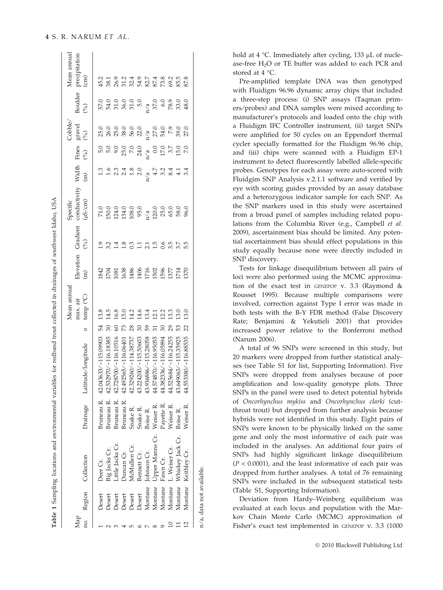|            |         |                          |                 | Table 1 Sampling locations and environmental variables for redband trout collected in drainages of southwest Idaho, USA |                                            |                  |                                                    |                              |                   |                      |                           |                                  |                                                                                        |
|------------|---------|--------------------------|-----------------|-------------------------------------------------------------------------------------------------------------------------|--------------------------------------------|------------------|----------------------------------------------------|------------------------------|-------------------|----------------------|---------------------------|----------------------------------|----------------------------------------------------------------------------------------|
|            |         |                          |                 |                                                                                                                         | Mean annua                                 |                  |                                                    | Specific                     |                   |                      | Cobble/                   |                                  | Mean annua                                                                             |
| Map<br>no. | Region  | Collection               |                 | Drainage Latitude/longitude                                                                                             | max. air<br>temp $\rm ^{(oC)}$             | Elevation<br>(m) | $\therefore$ Gradient $\stackrel{(9/6)}{_{(9/6)}}$ | conductivity<br>$(\mu S/cm)$ | $W$ idth<br>$(m)$ | Fines $\binom{9}{6}$ | ${\rm grad} \atop {(\%)}$ | Boulder<br>$\stackrel{(9,6)}{0}$ | $\begin{array}{c}\n 44 \cdot \cdot \\ 44 \cdot \cdot \\ 44 \cdot \cdot \\ \end{array}$ |
|            | Desert  | Deer Cr.                 | Bruneau R. 42.0 | 43633/-115.09903                                                                                                        | 13.8                                       |                  |                                                    |                              |                   |                      |                           |                                  |                                                                                        |
|            | Desert  | Big Jacks Cr.            | Bruneau R.      | 42.532970/-116.18385                                                                                                    |                                            |                  |                                                    |                              |                   |                      |                           |                                  |                                                                                        |
|            | Desert  | Little Jacks Cr.         | Bruneau R.      | 42.728700/-116.10516                                                                                                    | 6.8<br>60                                  |                  |                                                    |                              |                   |                      |                           |                                  |                                                                                        |
|            | Desert  | Duncan Cr.               | Bruneau R.      | 192565/-116.06401<br>42.4                                                                                               | 5.0                                        |                  | 2 3 4 4 6 5 1 5 4 6 5 5 7                          |                              |                   |                      |                           |                                  | 4 3 3 4 5 5 7 8 9 9 9 9<br>4 3 9 9 7 9 9 9 9 9 9 9 9 9                                 |
|            | Desert  | McMullen Cr.             | Snake R.        | 42.329260/-114.38737                                                                                                    |                                            |                  |                                                    |                              |                   |                      |                           |                                  |                                                                                        |
|            | Desert  | Bennett Cr.              | Snake R.        | 224200/-115.50603<br>43.2                                                                                               |                                            |                  |                                                    |                              |                   |                      |                           |                                  |                                                                                        |
|            | Montane | Johnson Cr.              | Boise R.        | 43.936886/-115.28058                                                                                                    | $-4.6$<br>$-4.6$<br>$-1.1$<br>$-1.1$<br>59 |                  |                                                    |                              |                   |                      |                           |                                  |                                                                                        |
|            | Montane | Upper Manns Cr.          | Weiser R.       | 44.574870/-116.95055                                                                                                    |                                            |                  |                                                    |                              |                   |                      |                           |                                  |                                                                                        |
|            | Montane | Fawn Cr.                 | Payette R.      | 382336/-116.05894<br>$\ddot{4}$                                                                                         | 12.2                                       |                  |                                                    |                              |                   |                      |                           |                                  |                                                                                        |
|            | Montane | L. Weiser Cr.            | Weiser R.       | 44.525684/-116.24255                                                                                                    | $\frac{33}{2}$<br>29                       |                  |                                                    |                              |                   |                      |                           |                                  |                                                                                        |
|            |         | Montane Whiskey Jack Cr. | Boise R.        | 43.649063/-115.35925                                                                                                    | 13.0<br>53                                 |                  |                                                    |                              |                   |                      |                           |                                  |                                                                                        |
|            |         | Montane Keithley Cr.     | Weiser R.       | 53380/<br>$\ddot{4}$                                                                                                    | 13.0<br>22                                 |                  |                                                    |                              |                   |                      |                           |                                  |                                                                                        |
|            |         |                          |                 |                                                                                                                         |                                            |                  |                                                    |                              |                   |                      |                           |                                  |                                                                                        |

**Table 1** Sampling locations and environmental variables for redband trout collected in drainages of southwest Idaho. USA

n/a, data not available ⁄ a, data not available. hold at  $4 \degree C$ . Immediately after cycling, 133 µL of nuclease-free H<sub>2</sub>O or TE buffer was added to each PCR and stored at  $4^{\circ}$ C. Pre-amplified template DNA was then genotyped

with Fluidigm 96.96 dynamic array chips that included a three-step process: (i) SNP assays (Taqman primers ⁄ probes) and DNA samples were mixed according to manufacturer's protocols and loaded onto the chip with a Fluidigm IFC Controller instrument, (ii) target SNPs were amplified for 50 cycles on an Eppendorf thermal cycler specially formatted for the Fluidigm 96.96 chip, and (iii) chips were scanned with a Fluidigm EP-1 instrument to detect fluorescently labelled allele-specific probes. Genotypes for each assay were auto-scored with Fluidgim SNP Analysis v.2.1.1 software and verified by eye with scoring guides provided by an assay database and a heterozygous indicator sample for each SNP. As the SNP markers used in this study were ascertained from a broad panel of samples including related populations from the Columbia River (e.g., Campbell et al. 2009), ascertainment bias should be limited. Any potential ascertainment bias should effect populations in this study equally because none were directly included in SNP discovery.

Tests for linkage disequilibrium between all pairs of loci were also performed using the MCMC approximation of the exact test in GENEPOP v. 3.3 (Raymond  $&$ Rousset 1995). Because multiple comparisons were involved, correction against Type I error was made in both tests with the B-Y FDR method (False Discovery Rate; Benjamini & Yekutieli 2001) that provides increased power relative to the Bonferroni method (Narum 2006).

A total of 96 SNPs were screened in this study, but 20 markers were dropped from further statistical analyses (see Table S1 for list, Supporting Information). Five SNPs were dropped from analyses because of poor amplification and low-quality genotype plots. Three SNPs in the panel were used to detect potential hybrids of Oncorhynchus mykiss and Oncorhynchus clarki (cutthroat trout) but dropped from further analysis because hybrids were not identified in this study. Eight pairs of SNPs were known to be physically linked on the same gene and only the most informative of each pair was included in the analyses. An additional four pairs of SNPs had highly significant linkage disequilibrium  $(P < 0.0001)$ , and the least informative of each pair was dropped from further analyses. A total of 76 remaining SNPs were included in the subsequent statistical tests (Table S1, Supporting Information).

Deviation from Hardy–Weinberg equilibrium was evaluated at each locus and population with the Markov Chain Monte Carlo (MCMC) approximation of Fisher's exact test implemented in GENEPOP v. 3.3 (1000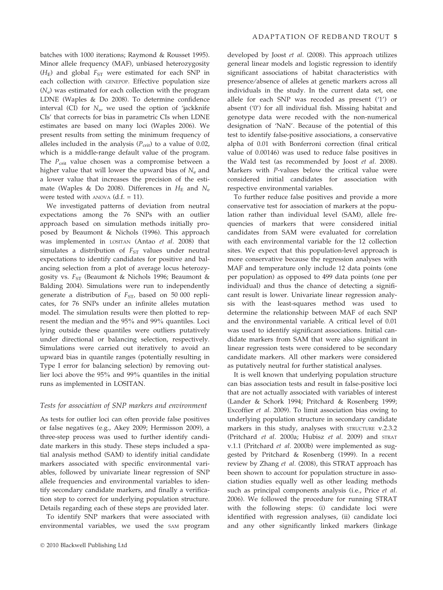batches with 1000 iterations; Raymond & Rousset 1995). Minor allele frequency (MAF), unbiased heterozygosity  $(H<sub>E</sub>)$  and global  $F<sub>ST</sub>$  were estimated for each SNP in each collection with GENEPOP. Effective population size  $(N_e)$  was estimated for each collection with the program LDNE (Waples & Do 2008). To determine confidence interval (CI) for  $N_{\rm e}$ , we used the option of 'jackknife CIs' that corrects for bias in parametric CIs when LDNE estimates are based on many loci (Waples 2006). We present results from setting the minimum frequency of alleles included in the analysis  $(P_{\text{crit}})$  to a value of 0.02, which is a middle-range default value of the program. The  $P_{\text{crit}}$  value chosen was a compromise between a higher value that will lower the upward bias of  $N_e$  and a lower value that increases the precision of the estimate (Waples & Do 2008). Differences in  $H<sub>E</sub>$  and  $N<sub>e</sub>$ were tested with  $ANOVA$  (d.f. = 11).

We investigated patterns of deviation from neutral expectations among the 76 SNPs with an outlier approach based on simulation methods initially proposed by Beaumont & Nichols (1996). This approach was implemented in LOSITAN (Antao et al. 2008) that simulates a distribution of  $F_{ST}$  values under neutral expectations to identify candidates for positive and balancing selection from a plot of average locus heterozygosity vs.  $F_{ST}$  (Beaumont & Nichols 1996; Beaumont & Balding 2004). Simulations were run to independently generate a distribution of  $F_{ST}$ , based on 50 000 replicates, for 76 SNPs under an infinite alleles mutation model. The simulation results were then plotted to represent the median and the 95% and 99% quantiles. Loci lying outside these quantiles were outliers putatively under directional or balancing selection, respectively. Simulations were carried out iteratively to avoid an upward bias in quantile ranges (potentially resulting in Type I error for balancing selection) by removing outlier loci above the 95% and 99% quantiles in the initial runs as implemented in LOSITAN.

# Tests for association of SNP markers and environment

As tests for outlier loci can often provide false positives or false negatives (e.g., Akey 2009; Hermisson 2009), a three-step process was used to further identify candidate markers in this study. These steps included a spatial analysis method (SAM) to identify initial candidate markers associated with specific environmental variables, followed by univariate linear regression of SNP allele frequencies and environmental variables to identify secondary candidate markers, and finally a verification step to correct for underlying population structure. Details regarding each of these steps are provided later.

To identify SNP markers that were associated with environmental variables, we used the SAM program developed by Joost et al. (2008). This approach utilizes general linear models and logistic regression to identify significant associations of habitat characteristics with presence ⁄ absence of alleles at genetic markers across all individuals in the study. In the current data set, one allele for each SNP was recoded as present ('1') or absent ('0') for all individual fish. Missing habitat and genotype data were recoded with the non-numerical designation of 'NaN'. Because of the potential of this test to identify false-positive associations, a conservative alpha of 0.01 with Bonferroni correction (final critical value of 0.00146) was used to reduce false positives in the Wald test (as recommended by Joost et al. 2008). Markers with P-values below the critical value were considered initial candidates for association with respective environmental variables.

To further reduce false positives and provide a more conservative test for association of markers at the population rather than individual level (SAM), allele frequencies of markers that were considered initial candidates from SAM were evaluated for correlation with each environmental variable for the 12 collection sites. We expect that this population-level approach is more conservative because the regression analyses with MAF and temperature only include 12 data points (one per population) as opposed to 499 data points (one per individual) and thus the chance of detecting a significant result is lower. Univariate linear regression analysis with the least-squares method was used to determine the relationship between MAF of each SNP and the environmental variable. A critical level of 0.01 was used to identify significant associations. Initial candidate markers from SAM that were also significant in linear regression tests were considered to be secondary candidate markers. All other markers were considered as putatively neutral for further statistical analyses.

It is well known that underlying population structure can bias association tests and result in false-positive loci that are not actually associated with variables of interest (Lander & Schork 1994; Pritchard & Rosenberg 1999; Excoffier et al. 2009). To limit association bias owing to underlying population structure in secondary candidate markers in this study, analyses with STRUCTURE v.2.3.2 (Pritchard et al. 2000a; Hubisz et al. 2009) and STRAT v.1.1 (Pritchard et al. 2000b) were implemented as suggested by Pritchard & Rosenberg (1999). In a recent review by Zhang et al. (2008), this STRAT approach has been shown to account for population structure in association studies equally well as other leading methods such as principal components analysis (i.e., Price et al. 2006). We followed the procedure for running STRAT with the following steps: (i) candidate loci were identified with regression analyses, (ii) candidate loci and any other significantly linked markers (linkage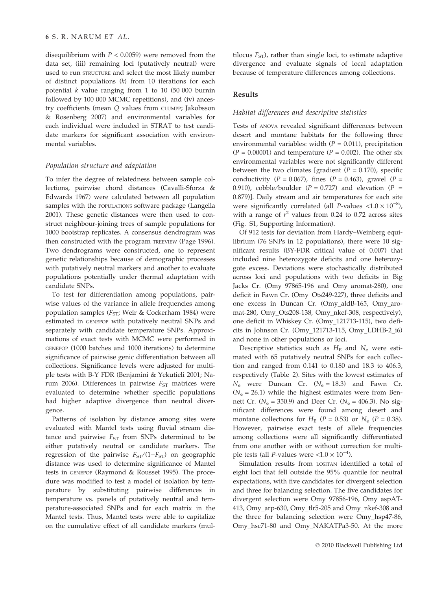disequilibrium with  $P < 0.0059$ ) were removed from the data set, (iii) remaining loci (putatively neutral) were used to run STRUCTURE and select the most likely number of distinct populations (k) from 10 iterations for each potential  $k$  value ranging from 1 to 10 (50 000 burnin followed by 100 000 MCMC repetitions), and (iv) ancestry coefficients (mean Q values from CLUMPP; Jakobsson & Rosenberg 2007) and environmental variables for each individual were included in STRAT to test candidate markers for significant association with environmental variables.

#### Population structure and adaptation

To infer the degree of relatedness between sample collections, pairwise chord distances (Cavalli-Sforza & Edwards 1967) were calculated between all population samples with the POPULATIONS software package (Langella 2001). These genetic distances were then used to construct neighbour-joining trees of sample populations for 1000 bootstrap replicates. A consensus dendrogram was then constructed with the program TREEVIEW (Page 1996). Two dendrograms were constructed, one to represent genetic relationships because of demographic processes with putatively neutral markers and another to evaluate populations potentially under thermal adaptation with candidate SNPs.

To test for differentiation among populations, pairwise values of the variance in allele frequencies among population samples ( $F_{ST}$ ; Weir & Cockerham 1984) were estimated in GENEPOP with putatively neutral SNPs and separately with candidate temperature SNPs. Approximations of exact tests with MCMC were performed in GENEPOP (1000 batches and 1000 iterations) to determine significance of pairwise genic differentiation between all collections. Significance levels were adjusted for multiple tests with B-Y FDR (Benjamini & Yekutieli 2001; Narum 2006). Differences in pairwise  $F_{ST}$  matrices were evaluated to determine whether specific populations had higher adaptive divergence than neutral divergence.

Patterns of isolation by distance among sites were evaluated with Mantel tests using fluvial stream distance and pairwise  $F_{ST}$  from SNPs determined to be either putatively neutral or candidate markers. The regression of the pairwise  $F_{ST}/(1-F_{ST})$  on geographic distance was used to determine significance of Mantel tests in GENEPOP (Raymond & Rousset 1995). The procedure was modified to test a model of isolation by temperature by substituting pairwise differences in temperature vs. panels of putatively neutral and temperature-associated SNPs and for each matrix in the Mantel tests. Thus, Mantel tests were able to capitalize on the cumulative effect of all candidate markers (mul-

tilocus  $F_{ST}$ ), rather than single loci, to estimate adaptive divergence and evaluate signals of local adaptation because of temperature differences among collections.

# Results

# Habitat differences and descriptive statistics

Tests of ANOVA revealed significant differences between desert and montane habitats for the following three environmental variables: width  $(P = 0.011)$ , precipitation  $(P = 0.00001)$  and temperature  $(P = 0.002)$ . The other six environmental variables were not significantly different between the two climates [gradient ( $P = 0.170$ ), specific conductivity ( $P = 0.067$ ), fines ( $P = 0.463$ ), gravel ( $P =$ 0.910), cobble/boulder ( $P = 0.727$ ) and elevation ( $P =$ 0.879)]. Daily stream and air temperatures for each site were significantly correlated (all *P*-values  $\langle 1.0 \times 10^{-8} \rangle$ ) with a range of  $r^2$  values from 0.24 to 0.72 across sites (Fig. S1, Supporting Information).

Of 912 tests for deviation from Hardy–Weinberg equilibrium (76 SNPs in 12 populations), there were 10 significant results (BY-FDR critical value of 0.007) that included nine heterozygote deficits and one heterozygote excess. Deviations were stochastically distributed across loci and populations with two deficits in Big Jacks Cr. (Omy 97865-196 and Omy aromat-280), one deficit in Fawn Cr. (Omy\_Ots249-227), three deficits and one excess in Duncan Cr. (Omy\_aldB-165, Omy\_aromat-280, Omy\_Ots208-138, Omy\_nkef-308, respectively), one deficit in Whiskey Cr. (Omy\_121713-115), two deficits in Johnson Cr. (Omy\_121713-115, Omy\_LDHB-2\_i6) and none in other populations or loci.

Descriptive statistics such as  $H<sub>E</sub>$  and  $N<sub>e</sub>$  were estimated with 65 putatively neutral SNPs for each collection and ranged from 0.141 to 0.180 and 18.3 to 406.3, respectively (Table 2). Sites with the lowest estimates of  $N_e$  were Duncan Cr. ( $N_e = 18.3$ ) and Fawn Cr.  $(N_e = 26.1)$  while the highest estimates were from Bennett Cr. ( $N_e = 350.9$ ) and Deer Cr. ( $N_e = 406.3$ ). No significant differences were found among desert and montane collections for  $H_E$  (P = 0.53) or  $N_e$  (P = 0.38). However, pairwise exact tests of allele frequencies among collections were all significantly differentiated from one another with or without correction for multiple tests (all *P*-values were  $< 1.0 \times 10^{-4}$ ).

Simulation results from LOSITAN identified a total of eight loci that fell outside the 95% quantile for neutral expectations, with five candidates for divergent selection and three for balancing selection. The five candidates for divergent selection were Omy\_97856-196, Omy\_aspAT-413, Omy\_arp-630, Omy\_tlr5-205 and Omy\_nkef-308 and the three for balancing selection were Omy\_hsp47-86, Omy\_hsc71-80 and Omy\_NAKATPa3-50. At the more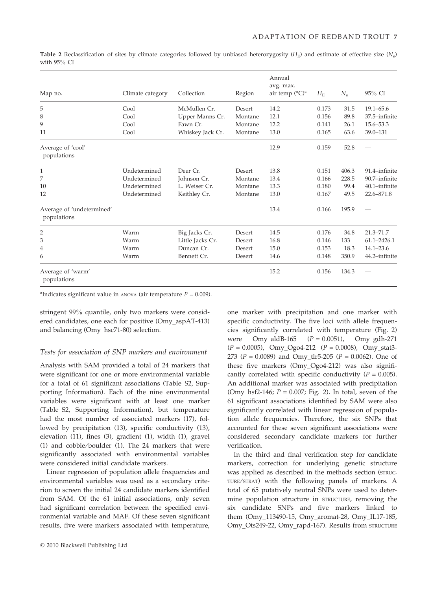Table 2 Reclassification of sites by climate categories followed by unbiased heterozygosity  $(H_E)$  and estimate of effective size  $(N_e)$ with 95% CI

| Map no.                                  | Climate category | Collection       | Region  | Annual<br>avg. max.<br>air temp $({}^{\circ}C)^*$ | $H_{\rm E}$ | $N_{\rm e}$ | 95% CI          |
|------------------------------------------|------------------|------------------|---------|---------------------------------------------------|-------------|-------------|-----------------|
| 5                                        | Cool             | McMullen Cr.     | Desert  | 14.2                                              | 0.173       | 31.5        | $19.1 - 65.6$   |
| 8                                        | Cool             | Upper Manns Cr.  | Montane | 12.1                                              | 0.156       | 89.8        | 37.5-infinite   |
| 9                                        | Cool             | Fawn Cr.         | Montane | 12.2                                              | 0.141       | 26.1        | 15.6–53.3       |
| 11                                       | Cool             | Whiskey Jack Cr. | Montane | 13.0                                              | 0.165       | 63.6        | 39.0-131        |
| Average of 'cool'<br>populations         |                  |                  |         | 12.9                                              | 0.159       | 52.8        |                 |
| $\mathbf{1}$                             | Undetermined     | Deer Cr.         | Desert  | 13.8                                              | 0.151       | 406.3       | 91.4-infinite   |
| 7                                        | Undetermined     | Johnson Cr.      | Montane | 13.4                                              | 0.166       | 228.5       | 90.7-infinite   |
| 10                                       | Undetermined     | L. Weiser Cr.    | Montane | 13.3                                              | 0.180       | 99.4        | 40.1-infinite   |
| 12                                       | Undetermined     | Keithley Cr.     | Montane | 13.0                                              | 0.167       | 49.5        | 22.6-871.8      |
| Average of 'undetermined'<br>populations |                  |                  |         | 13.4                                              | 0.166       | 195.9       |                 |
| $\overline{2}$                           | Warm             | Big Jacks Cr.    | Desert  | 14.5                                              | 0.176       | 34.8        | $21.3 - 71.7$   |
| 3                                        | Warm             | Little Jacks Cr. | Desert  | 16.8                                              | 0.146       | 133         | $61.1 - 2426.1$ |
| 4                                        | Warm             | Duncan Cr.       | Desert  | 15.0                                              | 0.153       | 18.3        | $14.1 - 23.6$   |
| 6                                        | Warm             | Bennett Cr.      | Desert  | 14.6                                              | 0.148       | 350.9       | 44.2-infinite   |
| Average of 'warm'<br>populations         |                  |                  |         | 15.2                                              | 0.156       | 134.3       |                 |

\*Indicates significant value in ANOVA (air temperature  $P = 0.009$ ).

stringent 99% quantile, only two markers were considered candidates, one each for positive (Omy\_aspAT-413) and balancing (Omy\_hsc71-80) selection.

#### Tests for association of SNP markers and environment

Analysis with SAM provided a total of 24 markers that were significant for one or more environmental variable for a total of 61 significant associations (Table S2, Supporting Information). Each of the nine environmental variables were significant with at least one marker (Table S2, Supporting Information), but temperature had the most number of associated markers (17), followed by precipitation (13), specific conductivity (13), elevation (11), fines (3), gradient (1), width (1), gravel (1) and cobble ⁄ boulder (1). The 24 markers that were significantly associated with environmental variables were considered initial candidate markers.

Linear regression of population allele frequencies and environmental variables was used as a secondary criterion to screen the initial 24 candidate markers identified from SAM. Of the 61 initial associations, only seven had significant correlation between the specified environmental variable and MAF. Of these seven significant results, five were markers associated with temperature, one marker with precipitation and one marker with specific conductivity. The five loci with allele frequencies significantly correlated with temperature (Fig. 2) were Omy\_aldB-165  $(P = 0.0051)$ , Omy\_gdh-271  $(P = 0.0005)$ , Omy\_Ogo4-212 ( $P = 0.0008$ ), Omy\_stat3-273 ( $P = 0.0089$ ) and Omy\_tlr5-205 ( $P = 0.0062$ ). One of these five markers (Omy\_Ogo4-212) was also significantly correlated with specific conductivity ( $P = 0.005$ ). An additional marker was associated with precipitation (Omy\_hsf2-146;  $P = 0.007$ ; Fig. 2). In total, seven of the 61 significant associations identified by SAM were also significantly correlated with linear regression of population allele frequencies. Therefore, the six SNPs that accounted for these seven significant associations were considered secondary candidate markers for further verification.

In the third and final verification step for candidate markers, correction for underlying genetic structure was applied as described in the methods section (STRUC-TURE/STRAT) with the following panels of markers. A total of 65 putatively neutral SNPs were used to determine population structure in STRUCTURE, removing the six candidate SNPs and five markers linked to them (Omy\_113490-15, Omy\_aromat-28, Omy\_IL17-185, Omy\_Ots249-22, Omy\_rapd-167). Results from STRUCTURE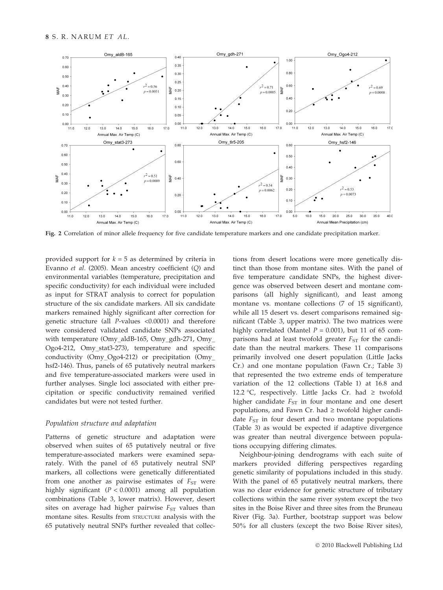

Fig. 2 Correlation of minor allele frequency for five candidate temperature markers and one candidate precipitation marker.

provided support for  $k = 5$  as determined by criteria in Evanno et al. (2005). Mean ancestry coefficient (Q) and environmental variables (temperature, precipitation and specific conductivity) for each individual were included as input for STRAT analysis to correct for population structure of the six candidate markers. All six candidate markers remained highly significant after correction for genetic structure (all P-values <0.0001) and therefore were considered validated candidate SNPs associated with temperature (Omy\_aldB-165, Omy\_gdh-271, Omy\_ Ogo4-212, Omy\_stat3-273), temperature and specific conductivity (Omy\_Ogo4-212) or precipitation (Omy\_ hsf2-146). Thus, panels of 65 putatively neutral markers and five temperature-associated markers were used in further analyses. Single loci associated with either precipitation or specific conductivity remained verified candidates but were not tested further.

## Population structure and adaptation

Patterns of genetic structure and adaptation were observed when suites of 65 putatively neutral or five temperature-associated markers were examined separately. With the panel of 65 putatively neutral SNP markers, all collections were genetically differentiated from one another as pairwise estimates of  $F_{ST}$  were highly significant  $(P < 0.0001)$  among all population combinations (Table 3, lower matrix). However, desert sites on average had higher pairwise  $F_{ST}$  values than montane sites. Results from STRUCTURE analysis with the 65 putatively neutral SNPs further revealed that collec-

tions from desert locations were more genetically distinct than those from montane sites. With the panel of five temperature candidate SNPs, the highest divergence was observed between desert and montane comparisons (all highly significant), and least among montane vs. montane collections (7 of 15 significant), while all 15 desert vs. desert comparisons remained significant (Table 3, upper matrix). The two matrices were highly correlated (Mantel  $P = 0.001$ ), but 11 of 65 comparisons had at least twofold greater  $F_{ST}$  for the candidate than the neutral markers. These 11 comparisons primarily involved one desert population (Little Jacks Cr.) and one montane population (Fawn Cr.; Table 3) that represented the two extreme ends of temperature variation of the 12 collections (Table 1) at 16.8 and 12.2 °C, respectively. Little Jacks Cr. had  $\ge$  twofold higher candidate  $F_{ST}$  in four montane and one desert populations, and Fawn Cr. had  $\geq$  twofold higher candidate  $F_{ST}$  in four desert and two montane populations (Table 3) as would be expected if adaptive divergence was greater than neutral divergence between populations occupying differing climates.

Neighbour-joining dendrograms with each suite of markers provided differing perspectives regarding genetic similarity of populations included in this study. With the panel of 65 putatively neutral markers, there was no clear evidence for genetic structure of tributary collections within the same river system except the two sites in the Boise River and three sites from the Bruneau River (Fig. 3a). Further, bootstrap support was below 50% for all clusters (except the two Boise River sites),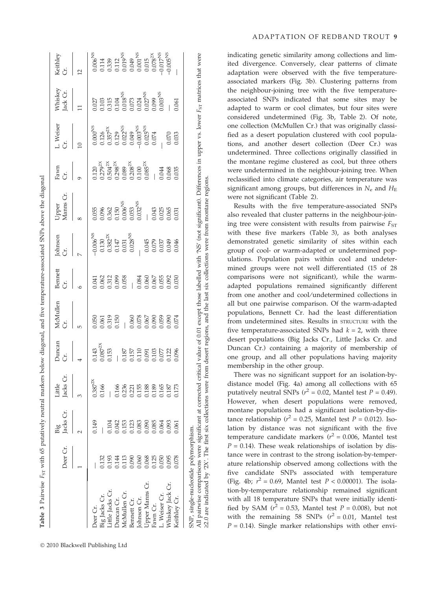|                  | Deer Cr. | Jacks Cr.<br>Big | Ġ.<br>Little<br>Jacks | Duncan<br>ä                                   | McMullen<br>نې<br>ن | Bennett<br>ä                  | Johnson<br>ä                                                                       | Manns Cr.<br>Upper                                        | Fawn<br>á                                                                                        | L. Weiser<br>نر<br>(                                                                                                                                                | Whiskey<br>lack Cr.                                                                                             | Keithley<br>ä                                                                                                                                                                          |
|------------------|----------|------------------|-----------------------|-----------------------------------------------|---------------------|-------------------------------|------------------------------------------------------------------------------------|-----------------------------------------------------------|--------------------------------------------------------------------------------------------------|---------------------------------------------------------------------------------------------------------------------------------------------------------------------|-----------------------------------------------------------------------------------------------------------------|----------------------------------------------------------------------------------------------------------------------------------------------------------------------------------------|
|                  |          |                  |                       |                                               |                     |                               |                                                                                    |                                                           |                                                                                                  |                                                                                                                                                                     |                                                                                                                 | 2                                                                                                                                                                                      |
| Deer Cr.         |          | 0.149            | $0.387^{2\times}$     | 0.143                                         | 0.050               | 0.041                         | $-0.006^{NS}$                                                                      | 1.055                                                     | 0.120                                                                                            |                                                                                                                                                                     |                                                                                                                 |                                                                                                                                                                                        |
| Big Jacks Cr.    |          |                  | 0.166                 | $0.087^{2\times}$                             | 0.061               | 0.062                         |                                                                                    | 0.096                                                     |                                                                                                  |                                                                                                                                                                     |                                                                                                                 |                                                                                                                                                                                        |
| Little Jacks Cr. | 0.193    | 0.104            |                       | 0.153                                         | 0.319               | 0.312<br>0.099                | $\begin{array}{c} 0.130 \\ 0.382^{2X} \\ 0.147 \\ 0.031 \\ 0.028^{NS} \end{array}$ | 0.362                                                     | $0.279^{2X}$<br>$0.504^{2X}$<br>$0.298^{2X}$                                                     | $\begin{array}{l} 0.000^{36} \\ 0.126 \\ 0.357^{28} \\ 0.129 \\ 0.022^{36} \\ 0.039 \\ 0.003 \\ 0.023^{36} \\ 0.027^{4} \\ 0.027^{4} \\ 0.003 \\ 0.074 \end{array}$ | $\begin{array}{l} 0.027 \\ 0.103 \\ 0.315 \\ 0.0104 \\ 0.0018 \\ 0.0234 \\ 0.027 \\ 0.027 \\ 0.027 \end{array}$ | $\begin{array}{l} 0.006^{NS} \\ 0.114 \\ 0.339 \\ 0.112 \\ 0.019^{NS} \\ 0.019^{NS} \\ 0.001^{NS} \\ 0.001^{NS} \\ 0.001^{NS} \\ 0.001^{S} \\ 0.007^{S2} \\ 0.007^{S2} \\ \end{array}$ |
| Duncan Cr        | 0.144    | 0.042            | 0.166                 |                                               | 0.150               |                               |                                                                                    | 0.150                                                     |                                                                                                  |                                                                                                                                                                     |                                                                                                                 |                                                                                                                                                                                        |
| McMullen Cr.     | 0.113    | 0.153            | 0.236                 | $0.187\,$                                     |                     | 0.058                         |                                                                                    | $0.006^{\mathrm{NS}}$<br>$0.053$<br>$0.032^{\mathrm{NS}}$ | $\begin{array}{c} 0.089 \\ 0.208^{2 \mathrm{X}} \\ 0.100 \\ 0.085^{2 \mathrm{X}} \\ \end{array}$ |                                                                                                                                                                     |                                                                                                                 |                                                                                                                                                                                        |
| Bennett Cr.      | 0.090    | 0.123            | 0.221                 |                                               | 0.060               | $\overline{\phantom{a}}$      |                                                                                    |                                                           |                                                                                                  |                                                                                                                                                                     |                                                                                                                 |                                                                                                                                                                                        |
| Johnson Cr.      | 0.060    | 0.083            | 0.155                 | $\begin{array}{c} 0.157 \\ 0.110 \end{array}$ | 0.078               | 0.084                         |                                                                                    |                                                           |                                                                                                  |                                                                                                                                                                     |                                                                                                                 |                                                                                                                                                                                        |
| Upper Manns Cr.  | 0.068    | 0.090            | 0.188                 | 0.091                                         | 0.067               |                               | 0.045                                                                              |                                                           |                                                                                                  |                                                                                                                                                                     |                                                                                                                 |                                                                                                                                                                                        |
| Fawn Cr.         | 0.125    | 0.085            | 0.189                 |                                               | 0.090               |                               |                                                                                    | 0.043                                                     |                                                                                                  |                                                                                                                                                                     | 0.099                                                                                                           |                                                                                                                                                                                        |
| L. Weiser Cr.    | 0.050    | 0.064            | 0.165                 | $0.103$<br>$0.077$                            | 0.059               | $0.060$<br>$0.067$<br>$0.055$ | 0.079<br>0.037                                                                     | 0.025                                                     | 044                                                                                              |                                                                                                                                                                     | 0.003 <sup>NS</sup>                                                                                             |                                                                                                                                                                                        |
| Whiskey Jack Cr. | 0.095    | 0.093            | 0.187                 | 0.122                                         | 0.090               | 0.092                         | 0.049                                                                              | 0.065                                                     | 0.68                                                                                             | 0.070                                                                                                                                                               |                                                                                                                 | $-0.017^{NS}$<br>$-0.005^{NS}$                                                                                                                                                         |
| Keithley Cr.     | 0.078    | 0.061            | 0.173                 | 0.096                                         | 0.074               | 0.030                         | 0.046                                                                              | 0.031                                                     | 0.35                                                                                             | 0.033                                                                                                                                                               | 0.61                                                                                                            |                                                                                                                                                                                        |

‡2.0 are indicated by '2X'. The first six collections were from desert regions, and the last six collections were from montane regions.

indicating genetic similarity among collections and limited divergence. Conversely, clear patterns of climate adaptation were observed with the five temperatureassociated markers (Fig. 3b). Clustering patterns from the neighbour-joining tree with the five temperatureassociated SNPs indicated that some sites may be adapted to warm or cool climates, but four sites were considered undetermined (Fig. 3b, Table 2). Of note, one collection (McMullen Cr.) that was originally classified as a desert population clustered with cool populations, and another desert collection (Deer Cr.) was undetermined. Three collections originally classified in the montane regime clustered as cool, but three others were undetermined in the neighbour-joining tree. When reclassified into climate categories, air temperature was significant among groups, but differences in  $N_e$  and  $H_E$ were not significant (Table 2).

Results with the five temperature-associated SNPs also revealed that cluster patterns in the neighbour-joining tree were consistent with results from pairwise  $F_{ST}$ with these five markers (Table 3), as both analyses demonstrated genetic similarity of sites within each group of cool- or warm-adapted or undetermined populations. Population pairs within cool and undetermined groups were not well differentiated (15 of 28 comparisons were not significant), while the warmadapted populations remained significantly different from one another and cool/undetermined collections in all but one pairwise comparison. Of the warm-adapted populations, Bennett Cr. had the least differentiation from undetermined sites. Results in STRUCTURE with the five temperature-associated SNPs had  $k = 2$ , with three desert populations (Big Jacks Cr., Little Jacks Cr. and Duncan Cr.) containing a majority of membership of one group, and all other populations having majority membership in the other group.

There was no significant support for an isolation-bydistance model (Fig. 4a) among all collections with 65 putatively neutral SNPs ( $r^2 = 0.02$ , Mantel test  $P = 0.49$ ). However, when desert populations were removed, montane populations had a significant isolation-by-distance relationship ( $r^2 = 0.25$ , Mantel test  $P = 0.012$ ). Isolation by distance was not significant with the five temperature candidate markers ( $r^2 = 0.006$ , Mantel test  $P = 0.14$ ). These weak relationships of isolation by distance were in contrast to the strong isolation-by-temperature relationship observed among collections with the five candidate SNPs associated with temperature (Fig. 4b;  $r^2 = 0.69$ , Mantel test  $P < 0.00001$ ). The isolation-by-temperature relationship remained significant with all 18 temperature SNPs that were initially identified by SAM ( $r^2 = 0.53$ , Mantel test  $P = 0.008$ ), but not with the remaining 58 SNPs  $(r^2 = 0.01)$ , Mantel test  $P = 0.14$ ). Single marker relationships with other envi-

- 2010 Blackwell Publishing Ltd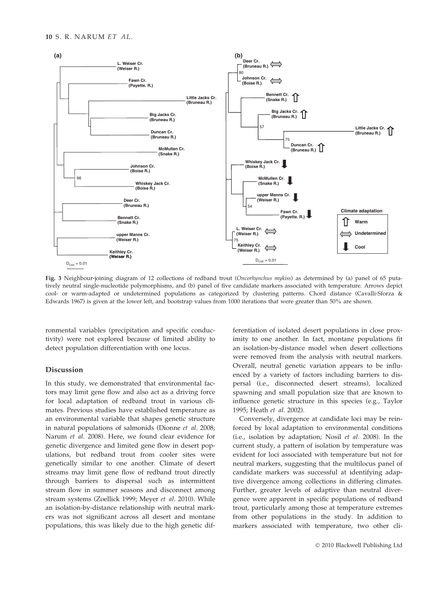

Fig. 3 Neighbour-joining diagram of 12 collections of redband trout (Oncorhynchus mykiss) as determined by (a) panel of 65 putatively neutral single-nucleotide polymorphisms, and (b) panel of five candidate markers associated with temperature. Arrows depict cool- or warm-adapted or undetermined populations as categorized by clustering patterns. Chord distance (Cavalli-Sforza & Edwards 1967) is given at the lower left, and bootstrap values from 1000 iterations that were greater than 50% are shown.

ronmental variables (precipitation and specific conductivity) were not explored because of limited ability to detect population differentiation with one locus.

#### Discussion

In this study, we demonstrated that environmental factors may limit gene flow and also act as a driving force for local adaptation of redband trout in various climates. Previous studies have established temperature as an environmental variable that shapes genetic structure in natural populations of salmonids (Dionne et al. 2008; Narum et al. 2008). Here, we found clear evidence for genetic divergence and limited gene flow in desert populations, but redband trout from cooler sites were genetically similar to one another. Climate of desert streams may limit gene flow of redband trout directly through barriers to dispersal such as intermittent stream flow in summer seasons and disconnect among stream systems (Zoellick 1999; Meyer et al. 2010). While an isolation-by-distance relationship with neutral markers was not significant across all desert and montane populations, this was likely due to the high genetic differentiation of isolated desert populations in close proximity to one another. In fact, montane populations fit an isolation-by-distance model when desert collections were removed from the analysis with neutral markers. Overall, neutral genetic variation appears to be influenced by a variety of factors including barriers to dispersal (i.e., disconnected desert streams), localized spawning and small population size that are known to influence genetic structure in this species (e.g., Taylor 1995; Heath et al. 2002).

Conversely, divergence at candidate loci may be reinforced by local adaptation to environmental conditions (i.e., isolation by adaptation; Nosil et al. 2008). In the current study, a pattern of isolation by temperature was evident for loci associated with temperature but not for neutral markers, suggesting that the multilocus panel of candidate markers was successful at identifying adaptive divergence among collections in differing climates. Further, greater levels of adaptive than neutral divergence were apparent in specific populations of redband trout, particularly among those at temperature extremes from other populations in the study. In addition to markers associated with temperature, two other cli-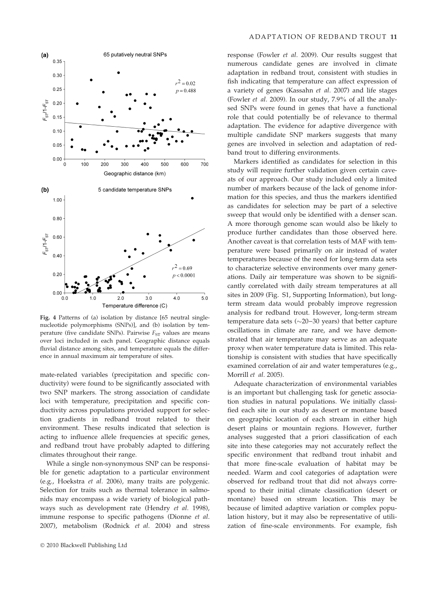

Fig. 4 Patterns of (a) isolation by distance [65 neutral singlenucleotide polymorphisms (SNPs)], and (b) isolation by temperature (five candidate SNPs). Pairwise  $F_{ST}$  values are means over loci included in each panel. Geographic distance equals fluvial distance among sites, and temperature equals the difference in annual maximum air temperature of sites.

mate-related variables (precipitation and specific conductivity) were found to be significantly associated with two SNP markers. The strong association of candidate loci with temperature, precipitation and specific conductivity across populations provided support for selection gradients in redband trout related to their environment. These results indicated that selection is acting to influence allele frequencies at specific genes, and redband trout have probably adapted to differing climates throughout their range.

While a single non-synonymous SNP can be responsible for genetic adaptation to a particular environment (e.g., Hoekstra et al. 2006), many traits are polygenic. Selection for traits such as thermal tolerance in salmonids may encompass a wide variety of biological pathways such as development rate (Hendry et al. 1998), immune response to specific pathogens (Dionne et al. 2007), metabolism (Rodnick et al. 2004) and stress response (Fowler et al. 2009). Our results suggest that numerous candidate genes are involved in climate adaptation in redband trout, consistent with studies in fish indicating that temperature can affect expression of a variety of genes (Kassahn et al. 2007) and life stages (Fowler et al. 2009). In our study, 7.9% of all the analysed SNPs were found in genes that have a functional role that could potentially be of relevance to thermal adaptation. The evidence for adaptive divergence with multiple candidate SNP markers suggests that many genes are involved in selection and adaptation of redband trout to differing environments.

Markers identified as candidates for selection in this study will require further validation given certain caveats of our approach. Our study included only a limited number of markers because of the lack of genome information for this species, and thus the markers identified as candidates for selection may be part of a selective sweep that would only be identified with a denser scan. A more thorough genome scan would also be likely to produce further candidates than those observed here. Another caveat is that correlation tests of MAF with temperature were based primarily on air instead of water temperatures because of the need for long-term data sets to characterize selective environments over many generations. Daily air temperature was shown to be significantly correlated with daily stream temperatures at all sites in 2009 (Fig. S1, Supporting Information), but longterm stream data would probably improve regression analysis for redband trout. However, long-term stream temperature data sets  $(\sim 20 - 30$  years) that better capture oscillations in climate are rare, and we have demonstrated that air temperature may serve as an adequate proxy when water temperature data is limited. This relationship is consistent with studies that have specifically examined correlation of air and water temperatures (e.g., Morrill et al. 2005).

Adequate characterization of environmental variables is an important but challenging task for genetic association studies in natural populations. We initially classified each site in our study as desert or montane based on geographic location of each stream in either high desert plains or mountain regions. However, further analyses suggested that a priori classification of each site into these categories may not accurately reflect the specific environment that redband trout inhabit and that more fine-scale evaluation of habitat may be needed. Warm and cool categories of adaptation were observed for redband trout that did not always correspond to their initial climate classification (desert or montane) based on stream location. This may be because of limited adaptive variation or complex population history, but it may also be representative of utilization of fine-scale environments. For example, fish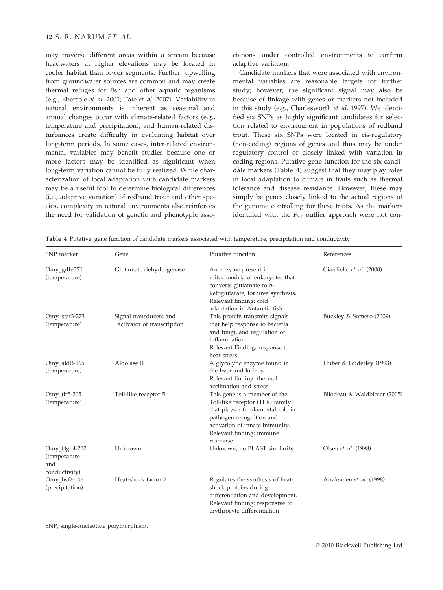may traverse different areas within a stream because headwaters at higher elevations may be located in cooler habitat than lower segments. Further, upwelling from groundwater sources are common and may create thermal refuges for fish and other aquatic organisms (e.g., Ebersole et al. 2001; Tate et al. 2007). Variability in natural environments is inherent as seasonal and annual changes occur with climate-related factors (e.g., temperature and precipitation), and human-related disturbances create difficulty in evaluating habitat over long-term periods. In some cases, inter-related environmental variables may benefit studies because one or more factors may be identified as significant when long-term variation cannot be fully realized. While characterization of local adaptation with candidate markers may be a useful tool to determine biological differences (i.e., adaptive variation) of redband trout and other species, complexity in natural environments also reinforces the need for validation of genetic and phenotypic associations under controlled environments to confirm adaptive variation.

Candidate markers that were associated with environmental variables are reasonable targets for further study; however, the significant signal may also be because of linkage with genes or markers not included in this study (e.g., Charlesworth et al. 1997). We identified six SNPs as highly significant candidates for selection related to environment in populations of redband trout. These six SNPs were located in cis-regulatory (non-coding) regions of genes and thus may be under regulatory control or closely linked with variation in coding regions. Putative gene function for the six candidate markers (Table 4) suggest that they may play roles in local adaptation to climate in traits such as thermal tolerance and disease resistance. However, these may simply be genes closely linked to the actual regions of the genome controlling for these traits. As the markers identified with the  $F_{ST}$  outlier approach were not con-

Table 4 Putative gene function of candidate markers associated with temperature, precipitation and conductivity

| SNP marker                                           | Gene                                                 | Putative function                                                                                                                                                                                         | References                   |
|------------------------------------------------------|------------------------------------------------------|-----------------------------------------------------------------------------------------------------------------------------------------------------------------------------------------------------------|------------------------------|
| Omy_gdh-271<br>(temperature)                         | Glutamate dehydrogenase                              | An enzyme present in<br>mitochondria of eukaryotes that<br>converts glutamate to a-<br>ketoglutarate, for urea synthesis.<br>Relevant finding: cold<br>adaptation in Antarctic fish                       | Ciardiello et al. (2000)     |
| Omy_stat3-273<br>(temperature)                       | Signal transducers and<br>activator of transcription | This protein transmits signals<br>that help response to bacteria<br>and fungi, and regulation of<br>inflammation.<br>Relevant Finding: response to<br>heat stress                                         | Buckley & Somero (2009)      |
| Omy_aldB-165<br>(temperature)                        | Aldolase B                                           | A glycolytic enzyme found in<br>the liver and kidney.<br>Relevant finding: thermal<br>acclimation and stress                                                                                              | Huber & Guderley (1993)      |
| $Omy_ltr5-205$<br>(temperature)                      | Toll-like receptor 5                                 | This gene is a member of the<br>Toll-like receptor (TLR) family<br>that plays a fundamental role in<br>pathogen recognition and<br>activation of innate immunity.<br>Relevant finding: immune<br>response | Bilodeau & Waldbieser (2005) |
| Omy_Ogo4-212<br>(temperature<br>and<br>conductivity) | Unknown                                              | Unknown; no BLAST similarity                                                                                                                                                                              | Olsen et al. (1998)          |
| Omy_hsf2-146<br>(precipitation)                      | Heat-shock factor 2                                  | Regulates the synthesis of heat-<br>shock proteins during<br>differentiation and development.<br>Relevant finding: responsive to<br>erythrocyte differentiation                                           | Airaksinen et al. (1998)     |

SNP, single-nucleotide polymorphism.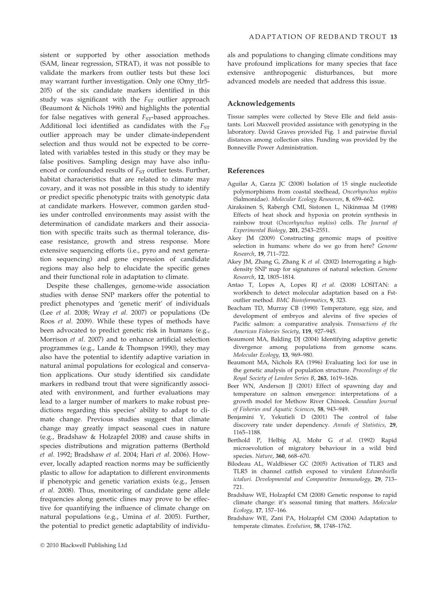sistent or supported by other association methods (SAM, linear regression, STRAT), it was not possible to validate the markers from outlier tests but these loci may warrant further investigation. Only one (Omy\_tlr5- 205) of the six candidate markers identified in this study was significant with the  $F_{ST}$  outlier approach (Beaumont & Nichols 1996) and highlights the potential for false negatives with general  $F_{ST}$ -based approaches. Additional loci identified as candidates with the  $F_{ST}$ outlier approach may be under climate-independent selection and thus would not be expected to be correlated with variables tested in this study or they may be false positives. Sampling design may have also influenced or confounded results of  $F_{ST}$  outlier tests. Further, habitat characteristics that are related to climate may covary, and it was not possible in this study to identify or predict specific phenotypic traits with genotypic data at candidate markers. However, common garden studies under controlled environments may assist with the determination of candidate markers and their association with specific traits such as thermal tolerance, disease resistance, growth and stress response. More extensive sequencing efforts (i.e., pyro and next generation sequencing) and gene expression of candidate regions may also help to elucidate the specific genes and their functional role in adaptation to climate.

Despite these challenges, genome-wide association studies with dense SNP markers offer the potential to predict phenotypes and 'genetic merit' of individuals (Lee et al. 2008; Wray et al. 2007) or populations (De Roos et al. 2009). While these types of methods have been advocated to predict genetic risk in humans (e.g., Morrison et al. 2007) and to enhance artificial selection programmes (e.g., Lande & Thompson 1990), they may also have the potential to identify adaptive variation in natural animal populations for ecological and conservation applications. Our study identified six candidate markers in redband trout that were significantly associated with environment, and further evaluations may lead to a larger number of markers to make robust predictions regarding this species' ability to adapt to climate change. Previous studies suggest that climate change may greatly impact seasonal cues in nature (e.g., Bradshaw & Holzapfel 2008) and cause shifts in species distributions and migration patterns (Berthold et al. 1992; Bradshaw et al. 2004; Hari et al. 2006). However, locally adapted reaction norms may be sufficiently plastic to allow for adaptation to different environments if phenotypic and genetic variation exists (e.g., Jensen et al. 2008). Thus, monitoring of candidate gene allele frequencies along genetic clines may prove to be effective for quantifying the influence of climate change on natural populations (e.g., Umina et al. 2005). Further, the potential to predict genetic adaptability of individuals and populations to changing climate conditions may have profound implications for many species that face extensive anthropogenic disturbances, but more advanced models are needed that address this issue.

## Acknowledgements

Tissue samples were collected by Steve Elle and field assistants. Lori Maxwell provided assistance with genotyping in the laboratory. David Graves provided Fig. 1 and pairwise fluvial distances among collection sites. Funding was provided by the Bonneville Power Administration.

# References

- Aguilar A, Garza JC (2008) Isolation of 15 single nucleotide polymorphisms from coastal steelhead, Oncorhynchus mykiss (Salmonidae). Molecular Ecology Resources, 8, 659–662.
- Airaksinen S, Rabergh CMI, Sistonen L, Nikinmaa M (1998) Effects of heat shock and hypoxia on protein synthesis in rainbow trout (Oncorhynchus mykiss) cells. The Journal of Experimental Biology, 201, 2543–2551.
- Akey JM (2009) Constructing genomic maps of positive selection in humans: where do we go from here? Genome Research, 19, 711–722.
- Akey JM, Zhang G, Zhang K et al. (2002) Interrogating a highdensity SNP map for signatures of natural selection. Genome Research, 12, 1805–1814.
- Antao T, Lopes A, Lopes RJ et al. (2008) LOSITAN: a workbench to detect molecular adaptation based on a Fstoutlier method. BMC Bioinformatics, 9, 323.
- Beacham TD, Murray CB (1990) Temperature, egg size, and development of embryos and alevins of five species of Pacific salmon: a comparative analysis. Transactions of the American Fisheries Society, 119, 927–945.
- Beaumont MA, Balding DJ (2004) Identifying adaptive genetic divergence among populations from genome scans. Molecular Ecology, 13, 969–980.
- Beaumont MA, Nichols RA (1996) Evaluating loci for use in the genetic analysis of population structure. Proceedings of the Royal Society of London Series B, 263, 1619–1626.
- Beer WN, Anderson JJ (2001) Effect of spawning day and temperature on salmon emergence: interpretations of a growth model for Methow River Chinook. Canadian Journal of Fisheries and Aquatic Sciences, 58, 943–949.
- Benjamini Y, Yekutieli D (2001) The control of false discovery rate under dependency. Annals of Statistics, 29, 1165–1188.
- Berthold P, Helbig AJ, Mohr G et al. (1992) Rapid microevolution of migratory behaviour in a wild bird species. Nature, 360, 668–670.
- Bilodeau AL, Waldbieser GC (2005) Activation of TLR3 and TLR5 in channel catfish exposed to virulent Edwardsiella ictaluri. Developmental and Comparative Immunology, 29, 713– 721.
- Bradshaw WE, Holzapfel CM (2008) Genetic response to rapid climate change: it's seasonal timing that matters. Molecular Ecology, 17, 157–166.
- Bradshaw WE, Zani PA, Holzapfel CM (2004) Adaptation to temperate climates. Evolution, 58, 1748–1762.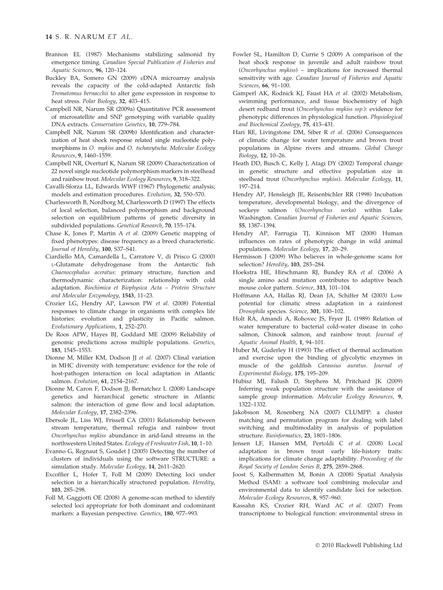- Brannon EL (1987) Mechanisms stabilizing salmonid fry emergence timing. Canadian Special Publication of Fisheries and Aquatic Sciences, 96, 120–124.
- Buckley BA, Somero GN (2009) cDNA microarray analysis reveals the capacity of the cold-adapted Antarctic fish Trematomus bernacchii to alter gene expression in response to heat stress. Polar Biology, 32, 403–415.
- Campbell NR, Narum SR (2009a) Quantitative PCR assessment of microsatellite and SNP genotyping with variable quality DNA extracts. Conservation Genetics, 10, 779–784.
- Campbell NR, Narum SR (2009b) Identification and characterization of heat shock response related single nucleotide polymorphisms in O. mykiss and O. tschawytscha. Molecular Ecology Resources, 9, 1460–1559.
- Campbell NR, Overturf K, Narum SR (2009) Characterization of 22 novel single nucleotide polymorphism markers in steelhead and rainbow trout. Molecular Ecology Resources, 9, 318–322.
- Cavalli-Sforza LL, Edwards WWF (1967) Phylogenetic analysis; models and estimation procedures. Evolution, 32, 550–570.
- Charlesworth B, Nordborg M, Charlesworth D (1997) The effects of local selection, balanced polymorphism and background selection on equilibrium patterns of genetic diversity in subdivided populations. Genetical Research, 70, 155–174.
- Chase K, Jones P, Martin A et al. (2009) Genetic mapping of fixed phenotypes: disease frequency as a breed characteristic. Journal of Heredity, 100, S37–S41.
- Ciardiello MA, Camardella L, Carratore V, di Prisco G (2000) L-Glutamate dehydrogenase from the Antarctic fish Chaenocephalus aceratus: primary structure, function and thermodynamic characterization: relationship with cold adaptation. Biochimica et Biophysica Acta – Protein Structure and Molecular Enzymology, 1543, 11–23.
- Crozier LG, Hendry AP, Lawson PW et al. (2008) Potential responses to climate change in organisms with complex life histories: evolution and plasticity in Pacific salmon. Evolutionary Applications, 1, 252–270.
- De Roos APW, Hayes BJ, Goddard ME (2009) Reliability of genomic predictions across multiple populations. Genetics, 183, 1545–1553.
- Dionne M, Miller KM, Dodson JJ et al. (2007) Clinal variation in MHC diversity with temperature: evidence for the role of host-pathogen interaction on local adaptation in Atlantic salmon. Evolution, 61, 2154–2167.
- Dionne M, Caron F, Dodson JJ, Bernatchez L (2008) Landscape genetics and hierarchical genetic structure in Atlantic salmon: the interaction of gene flow and local adaptation. Molecular Ecology, 17, 2382–2396.
- Ebersole JL, Liss WJ, Frissell CA (2001) Relationship between stream temperature, thermal refugia and rainbow trout Oncorhynchus mykiss abundance in arid-land streams in the northwestern United States. Ecology of Freshwater Fish, 10, 1–10.
- Evanno G, Regnaut S, Goudet J (2005) Detecting the number of clusters of individuals using the software STRUCTURE: a simulation study. Molecular Ecology, 14, 2611–2620.
- Excoffier L, Hofer T, Foll M (2009) Detecting loci under selection in a hierarchically structured population. Heredity, 103, 285–298.
- Foll M, Gaggiotti OE (2008) A genome-scan method to identify selected loci appropriate for both dominant and codominant markers: a Bayesian perspective. Genetics, 180, 977–993.
- Fowler SL, Hamilton D, Currie S (2009) A comparison of the heat shock response in juvenile and adult rainbow trout (Oncorhynchus mykiss) – implications for increased thermal sensitivity with age. Canadian Journal of Fisheries and Aquatic Sciences, 66, 91–100.
- Gamperl AK, Rodnick KJ, Faust HA et al. (2002) Metabolism, swimming performance, and tissue biochemistry of high desert redband trout (Oncorhynchus mykiss ssp.): evidence for phenotypic differences in physiological function. Physiological and Biochemical Zoology, 75, 413–431.
- Hari RE, Livingstone DM, Siber R et al. (2006) Consequences of climatic change for water temperature and brown trout populations in Alpine rivers and streams. Global Change Biology, 12, 10–26.
- Heath DD, Busch C, Kelly J, Atagi DY (2002) Temporal change in genetic structure and effective population size in steelhead trout (Oncorhynchus mykiss). Molecular Ecology, 11, 197–214.
- Hendry AP, Hensleigh JE, Reisenbichler RR (1998) Incubation temperature, developmental biology, and the divergence of sockeye salmon (Oncorhynchus nerka) within Lake Washington. Canadian Journal of Fisheries and Aquatic Sciences, 55, 1387–1394.
- Hendry AP, Farrugia TJ, Kinnison MT (2008) Human influences on rates of phenotypic change in wild animal populations. Molecular Ecology, 17, 20–29.
- Hermisson J (2009) Who believes in whole-genome scans for selection? Heredity, 103, 283-284.
- Hoekstra HE, Hirschmann RJ, Bundey RA et al. (2006) A single amino acid mutation contributes to adaptive beach mouse color pattern. Science, 313, 101–104.
- Hoffmann AA, Hallas RJ, Dean JA, Schiffer M (2003) Low potential for climatic stress adaptation in a rainforest Drosophila species. Science, 301, 100–102.
- Holt RA, Amandi A, Rohovec JS, Fryer JL (1989) Relation of water temperature to bacterial cold-water disease in coho salmon, Chinook salmon, and rainbow trout. Journal of Aquatic Animal Health, 1, 94–101.
- Huber M, Guderley H (1993) The effect of thermal acclimation and exercise upon the binding of glycolytic enzymes in muscle of the goldfish Carassius auratus. Journal of Experimental Biology, 175, 195–209.
- Hubisz MJ, Falush D, Stephens M, Pritchard JK (2009) Inferring weak population structure with the assistance of sample group information. Molecular Ecology Resources, 9, 1322–1332.
- Jakobsson M, Rosenberg NA (2007) CLUMPP: a cluster matching and permutation program for dealing with label switching and multimodality in analysis of population structure. Bioinformatics, 23, 1801–1806.
- Jensen LF, Hansen MM, Pertoldi C et al. (2008) Local adaptation in brown trout early life-history traits: implications for climate change adaptability. Proceeding of the Royal Society of London Series B, 275, 2859–2868.
- Joost S, Kalbermatten M, Bonin A (2008) Spatial Analysis Method (SAM): a software tool combining molecular and environmental data to identify candidate loci for selection. Molecular Ecology Resources, 8, 957–960.
- Kassahn KS, Crozier RH, Ward AC et al. (2007) From transcriptome to biological function: environmental stress in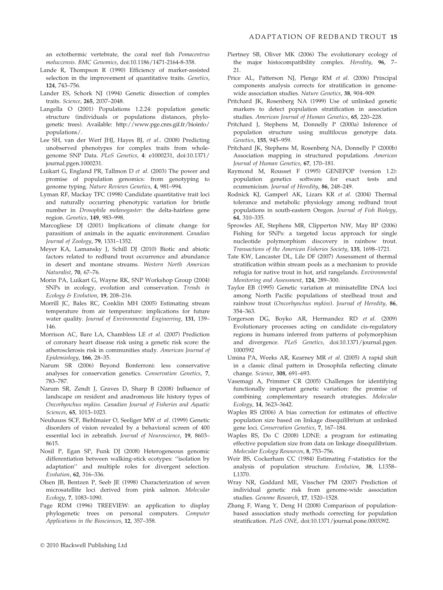an ectothermic vertebrate, the coral reef fish Pomacentrus moluccensis. BMC Genomics, doi:10.1186/1471-2164-8-358.

- Lande R, Thompson R (1990) Efficiency of marker-assisted selection in the improvement of quantitative traits. Genetics, 124, 743–756.
- Lander ES, Schork NJ (1994) Genetic dissection of complex traits. Science, 265, 2037–2048.
- Langella O (2001) Populations 1.2.24: population genetic structure (individuals or populations distances, phylogenetic trees). Available: http://www.pge.cnrs.gif.fr/bioinfo/ populations/.
- Lee SH, van der Werf JHJ, Hayes BJ, et al.. (2008) Predicting unobserved phenotypes for complex traits from wholegenome SNP Data. PLoS Genetics, 4: e1000231, doi:10.1371/ journal.pgen.1000231.
- Luikart G, England PR, Tallmon D et al. (2003) The power and promise of population genomics: from genotyping to genome typing. Nature Reviews Genetics, 4, 981–994.
- Lyman RF, Mackay TFC (1998) Candidate quantitative trait loci and naturally occurring phenotypic variation for bristle number in Drosophila melanogaster: the delta-hairless gene region. Genetics, 149, 983–998.
- Marcogliese DJ (2001) Implications of climate change for parasitism of animals in the aquatic environment. Canadian Journal of Zoology, 79, 1331–1352.
- Meyer KA, Lamansky J, Schill DJ (2010) Biotic and abiotic factors related to redband trout occurrence and abundance in desert and montane streams. Western North American Naturalist, 70, 67–76.
- Morin PA, Luikart G, Wayne RK, SNP Workshop Group (2004) SNPs in ecology, evolution and conservation. Trends in Ecology & Evolution, 19, 208–216.
- Morrill JC, Bales RC, Conklin MH (2005) Estimating stream temperature from air temperature: implications for future water quality. Journal of Environmental Engineering, 131, 139– 146.
- Morrison AC, Bare LA, Chambless LE et al. (2007) Prediction of coronary heart disease risk using a genetic risk score: the atherosclerosis risk in communities study. American Journal of Epidemiology, 166, 28–35.
- Narum SR (2006) Beyond Bonferroni: less conservative analyses for conservation genetics. Conservation Genetics, 7, 783–787.
- Narum SR, Zendt J, Graves D, Sharp B (2008) Influence of landscape on resident and anadromous life history types of Oncorhynchus mykiss. Canadian Journal of Fisheries and Aquatic Sciences, 65, 1013–1023.
- Neuhauss SCF, Biehlmaier O, Seeliger MW et al. (1999) Genetic disorders of vision revealed by a behavioral screen of 400 essential loci in zebrafish. Journal of Neuroscience, 19, 8603– 8615.
- Nosil P, Egan SP, Funk DJ (2008) Heterogeneous genomic differentiation between walking-stick ecotypes: ''isolation by adaptation'' and multiple roles for divergent selection. Evolution, 62, 316–336.
- Olsen JB, Bentzen P, Seeb JE (1998) Characterization of seven microsatellite loci derived from pink salmon. Molecular Ecology, 7, 1083–1090.
- Page RDM (1996) TREEVIEW: an application to display phylogenetic trees on personal computers. Computer Applications in the Biosciences, 12, 357–358.
- Piertney SB, Oliver MK (2006) The evolutionary ecology of the major histocompatibility complex. Heredity, 96, 7– 21.
- Price AL, Patterson NJ, Plenge RM et al. (2006) Principal components analysis corrects for stratification in genomewide association studies. Nature Genetics, 38, 904–909.
- Pritchard JK, Rosenberg NA (1999) Use of unlinked genetic markers to detect population stratification in association studies. American Journal of Human Genetics, 65, 220–228.
- Pritchard J, Stephens M, Donnelly P (2000a) Inference of population structure using multilocus genotype data. Genetics, 155, 945–959.
- Pritchard JK, Stephens M, Rosenberg NA, Donnelly P (2000b) Association mapping in structured populations. American Journal of Human Genetics, 67, 170–181.
- Raymond M, Rousset F (1995) GENEPOP (version 1.2): population genetics software for exact tests and ecumenicism. Journal of Heredity, 86, 248–249.
- Rodnick KJ, Gamperl AK, Lizars KR et al. (2004) Thermal tolerance and metabolic physiology among redband trout populations in south-eastern Oregon. Journal of Fish Biology, 64, 310–335.
- Sprowles AE, Stephens MR, Clipperton NW, May BP (2006) Fishing for SNPs: a targeted locus approach for single nucleotide polymorphism discovery in rainbow trout. Transactions of the American Fisheries Society, 135, 1698–1721.
- Tate KW, Lancaster DL, Lile DF (2007) Assessment of thermal stratification within stream pools as a mechanism to provide refugia for native trout in hot, arid rangelands. Environmental Monitoring and Assessment, 124, 289–300.
- Taylor EB (1995) Genetic variation at minisatellite DNA loci among North Pacific populations of steelhead trout and rainbow trout (Oncorhynchus mykiss). Journal of Heredity, 86, 354–363.
- Torgerson DG, Boyko AR, Hermandez RD et al. (2009) Evolutionary processes acting on candidate cis-regulatory regions in humans inferred from patterns of polymorphism and divergence. PLoS Genetics, doi:10.1371/journal.pgen. 1000592
- Umina PA, Weeks AR, Kearney MR et al. (2005) A rapid shift in a classic clinal pattern in Drosophila reflecting climate change. Science, 308, 691–693.
- Vasemagi A, Primmer CR (2005) Challenges for identifying functionally important genetic variation: the promise of combining complementary research strategies. Molecular Ecology, 14, 3623–3642.
- Waples RS (2006) A bias correction for estimates of effective population size based on linkage disequilibrium at unlinked gene loci. Conservation Genetics, 7, 167–184.
- Waples RS, Do C (2008) LDNE: a program for estimating effective population size from data on linkage disequilibrium. Molecular Ecology Resources, 8, 753–756.
- Weir BS, Cockerham CC (1984) Estimating F-statistics for the analysis of population structure. Evolution, 38, L1358– L1370.
- Wray NR, Goddard ME, Visscher PM (2007) Prediction of individual genetic risk from genome-wide association studies. Genome Research, 17, 1520–1528.
- Zhang F, Wang Y, Deng H (2008) Comparison of populationbased association study methods correcting for population stratification. PLoS ONE, doi:10.1371/journal.pone.0003392.